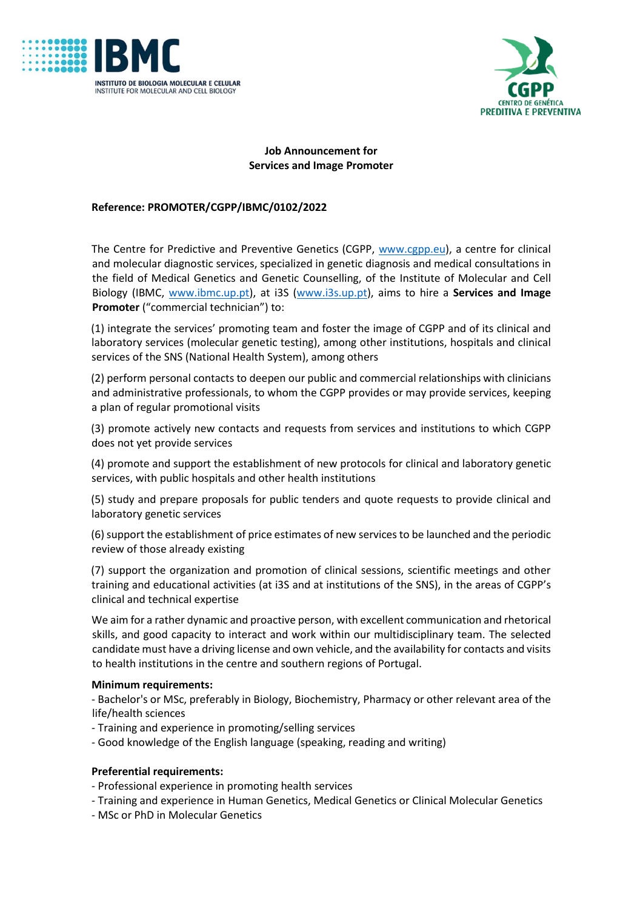



# **Job Announcement for Services and Image Promoter**

# **Reference: PROMOTER/CGPP/IBMC/0102/2022**

The Centre for Predictive and Preventive Genetics (CGPP, www.cgpp.eu), a centre for clinical and molecular diagnostic services, specialized in genetic diagnosis and medical consultations in the field of Medical Genetics and Genetic Counselling, of the Institute of Molecular and Cell Biology (IBMC, www.ibmc.up.pt), at i3S (www.i3s.up.pt), aims to hire a **Services and Image Promoter** ("commercial technician") to:

(1) integrate the services' promoting team and foster the image of CGPP and of its clinical and laboratory services (molecular genetic testing), among other institutions, hospitals and clinical services of the SNS (National Health System), among others

(2) perform personal contacts to deepen our public and commercial relationships with clinicians and administrative professionals, to whom the CGPP provides or may provide services, keeping a plan of regular promotional visits

(3) promote actively new contacts and requests from services and institutions to which CGPP does not yet provide services

(4) promote and support the establishment of new protocols for clinical and laboratory genetic services, with public hospitals and other health institutions

(5) study and prepare proposals for public tenders and quote requests to provide clinical and laboratory genetic services

(6) support the establishment of price estimates of new services to be launched and the periodic review of those already existing

(7) support the organization and promotion of clinical sessions, scientific meetings and other training and educational activities (at i3S and at institutions of the SNS), in the areas of CGPP's clinical and technical expertise

We aim for a rather dynamic and proactive person, with excellent communication and rhetorical skills, and good capacity to interact and work within our multidisciplinary team. The selected candidate must have a driving license and own vehicle, and the availability for contacts and visits to health institutions in the centre and southern regions of Portugal.

#### **Minimum requirements:**

- Bachelor's or MSc, preferably in Biology, Biochemistry, Pharmacy or other relevant area of the life/health sciences

- Training and experience in promoting/selling services

- Good knowledge of the English language (speaking, reading and writing)

#### **Preferential requirements:**

- Professional experience in promoting health services

- Training and experience in Human Genetics, Medical Genetics or Clinical Molecular Genetics
- MSc or PhD in Molecular Genetics